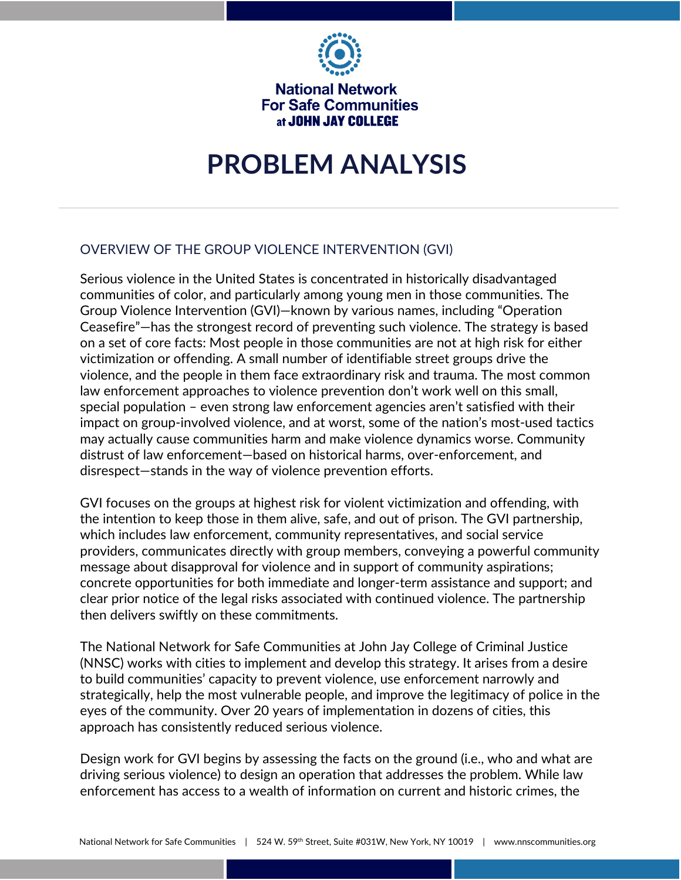

**National Network For Safe Communities** at JOHN JAY COLLEGE

# **PROBLEM ANALYSIS**

# OVERVIEW OF THE GROUP VIOLENCE INTERVENTION (GVI)

Serious violence in the United States is concentrated in historically disadvantaged communities of color, and particularly among young men in those communities. The Group Violence Intervention (GVI)—known by various names, including "Operation Ceasefire"—has the strongest record of preventing such violence. The strategy is based on a set of core facts: Most people in those communities are not at high risk for either victimization or offending. A small number of identifiable street groups drive the violence, and the people in them face extraordinary risk and trauma. The most common law enforcement approaches to violence prevention don't work well on this small, special population – even strong law enforcement agencies aren't satisfied with their impact on group-involved violence, and at worst, some of the nation's most-used tactics may actually cause communities harm and make violence dynamics worse. Community distrust of law enforcement—based on historical harms, over-enforcement, and disrespect—stands in the way of violence prevention efforts.

GVI focuses on the groups at highest risk for violent victimization and offending, with the intention to keep those in them alive, safe, and out of prison. The GVI partnership, which includes law enforcement, community representatives, and social service providers, communicates directly with group members, conveying a powerful community message about disapproval for violence and in support of community aspirations; concrete opportunities for both immediate and longer-term assistance and support; and clear prior notice of the legal risks associated with continued violence. The partnership then delivers swiftly on these commitments.

The National Network for Safe Communities at John Jay College of Criminal Justice (NNSC) works with cities to implement and develop this strategy. It arises from a desire to build communities' capacity to prevent violence, use enforcement narrowly and strategically, help the most vulnerable people, and improve the legitimacy of police in the eyes of the community. Over 20 years of implementation in dozens of cities, this approach has consistently reduced serious violence.

Design work for GVI begins by assessing the facts on the ground (i.e., who and what are driving serious violence) to design an operation that addresses the problem. While law enforcement has access to a wealth of information on current and historic crimes, the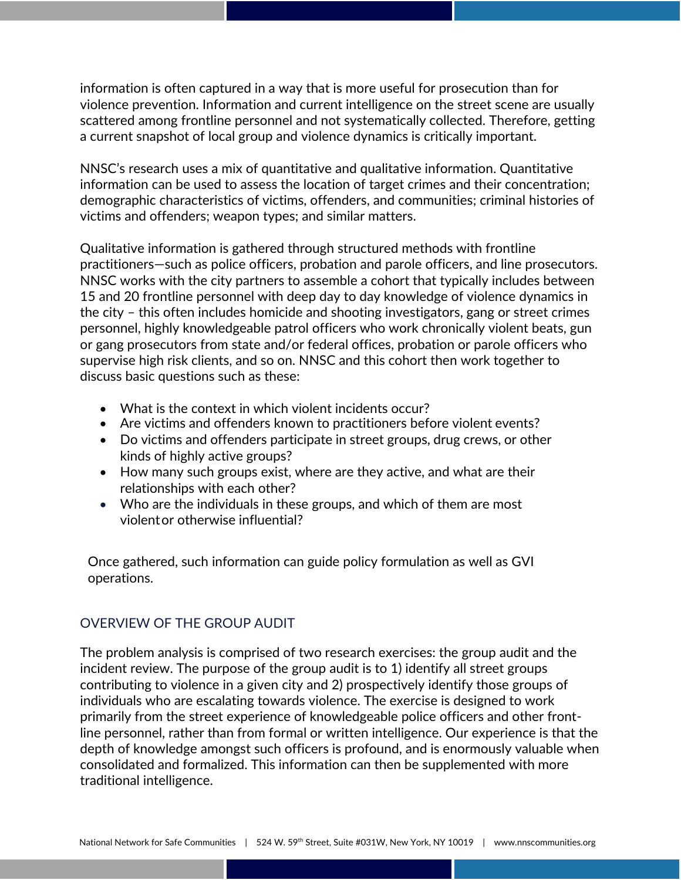information is often captured in a way that is more useful for prosecution than for violence prevention. Information and current intelligence on the street scene are usually scattered among frontline personnel and not systematically collected. Therefore, getting a current snapshot of local group and violence dynamics is critically important.

NNSC's research uses a mix of quantitative and qualitative information. Quantitative information can be used to assess the location of target crimes and their concentration; demographic characteristics of victims, offenders, and communities; criminal histories of victims and offenders; weapon types; and similar matters.

Qualitative information is gathered through structured methods with frontline practitioners—such as police officers, probation and parole officers, and line prosecutors. NNSC works with the city partners to assemble a cohort that typically includes between 15 and 20 frontline personnel with deep day to day knowledge of violence dynamics in the city – this often includes homicide and shooting investigators, gang or street crimes personnel, highly knowledgeable patrol officers who work chronically violent beats, gun or gang prosecutors from state and/or federal offices, probation or parole officers who supervise high risk clients, and so on. NNSC and this cohort then work together to discuss basic questions such as these:

- What is the context in which violent incidents occur?
- Are victims and offenders known to practitioners before violent events?
- Do victims and offenders participate in street groups, drug crews, or other kinds of highly active groups?
- How many such groups exist, where are they active, and what are their relationships with each other?
- Who are the individuals in these groups, and which of them are most violentor otherwise influential?

Once gathered, such information can guide policy formulation as well as GVI operations.

#### OVERVIEW OF THE GROUP AUDIT

The problem analysis is comprised of two research exercises: the group audit and the incident review. The purpose of the group audit is to 1) identify all street groups contributing to violence in a given city and 2) prospectively identify those groups of individuals who are escalating towards violence. The exercise is designed to work primarily from the street experience of knowledgeable police officers and other frontline personnel, rather than from formal or written intelligence. Our experience is that the depth of knowledge amongst such officers is profound, and is enormously valuable when consolidated and formalized. This information can then be supplemented with more traditional intelligence.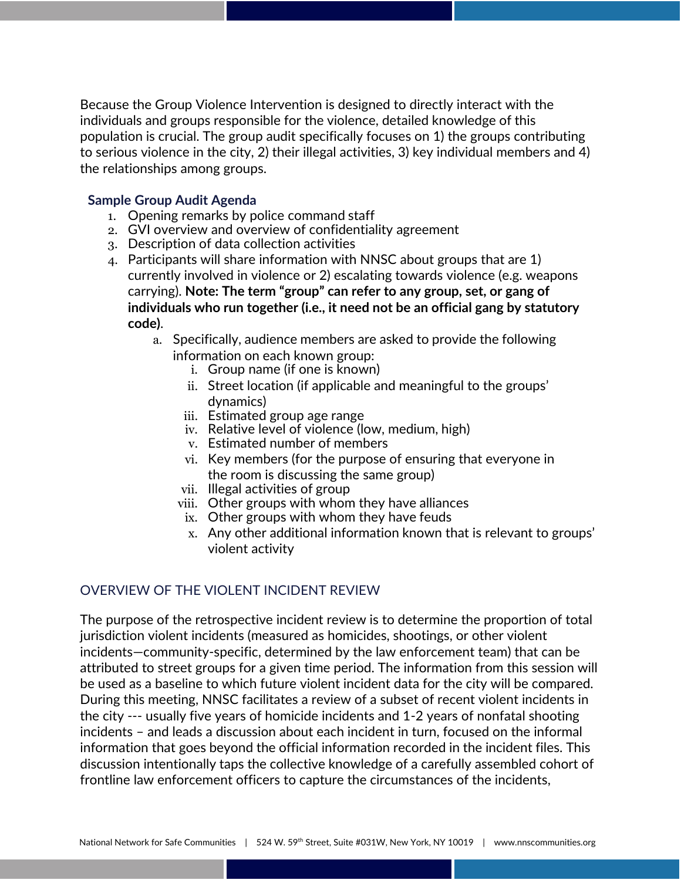Because the Group Violence Intervention is designed to directly interact with the individuals and groups responsible for the violence, detailed knowledge of this population is crucial. The group audit specifically focuses on 1) the groups contributing to serious violence in the city, 2) their illegal activities, 3) key individual members and 4) the relationships among groups.

#### **Sample Group Audit Agenda**

- 1. Opening remarks by police command staff
- 2. GVI overview and overview of confidentiality agreement
- 3. Description of data collection activities
- 4. Participants will share information with NNSC about groups that are 1) currently involved in violence or 2) escalating towards violence (e.g. weapons carrying). **Note: The term "group" can refer to any group, set, or gang of individuals who run together (i.e., it need not be an official gang by statutory code)**.
	- a. Specifically, audience members are asked to provide the following information on each known group:
		- i. Group name (if one is known)
		- ii. Street location (if applicable and meaningful to the groups' dynamics)
		- iii. Estimated group age range
		- iv. Relative level of violence (low, medium, high)
		- v. Estimated number of members
		- vi. Key members (for the purpose of ensuring that everyone in the room is discussing the same group)
		- vii. Illegal activities of group
		- viii. Other groups with whom they have alliances
		- ix. Other groups with whom they have feuds
		- x. Any other additional information known that is relevant to groups' violent activity

## OVERVIEW OF THE VIOLENT INCIDENT REVIEW

The purpose of the retrospective incident review is to determine the proportion of total jurisdiction violent incidents (measured as homicides, shootings, or other violent incidents—community-specific, determined by the law enforcement team) that can be attributed to street groups for a given time period. The information from this session will be used as a baseline to which future violent incident data for the city will be compared. During this meeting, NNSC facilitates a review of a subset of recent violent incidents in the city --- usually five years of homicide incidents and 1-2 years of nonfatal shooting incidents – and leads a discussion about each incident in turn, focused on the informal information that goes beyond the official information recorded in the incident files. This discussion intentionally taps the collective knowledge of a carefully assembled cohort of frontline law enforcement officers to capture the circumstances of the incidents,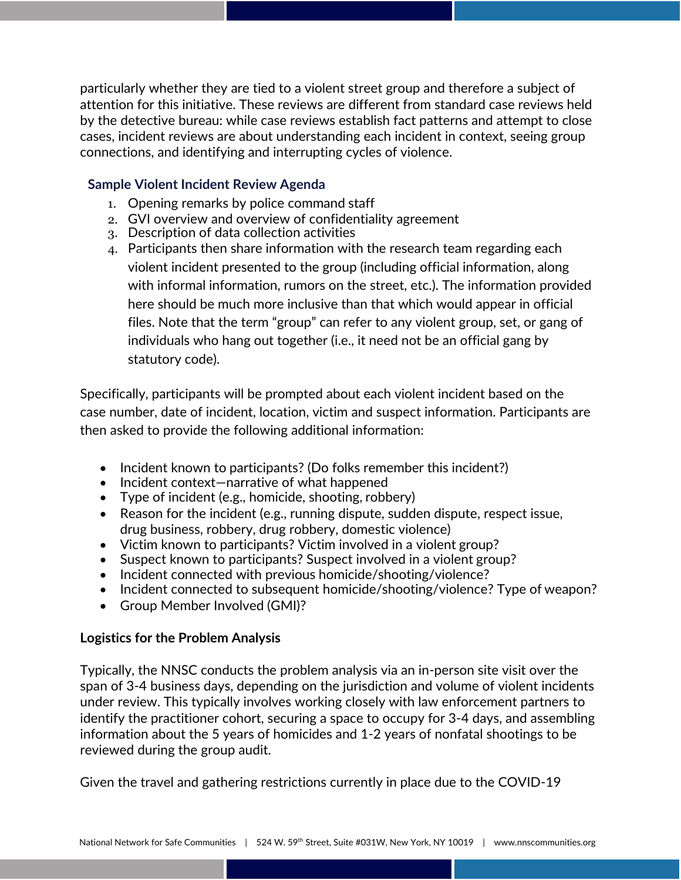particularly whether they are tied to a violent street group and therefore a subject of attention for this initiative. These reviews are different from standard case reviews held by the detective bureau: while case reviews establish fact patterns and attempt to close cases, incident reviews are about understanding each incident in context, seeing group connections, and identifying and interrupting cycles of violence.

#### **Sample Violent Incident Review Agenda**

- 1. Opening remarks by police command staff
- 2. GVI overview and overview of confidentiality agreement
- 3. Description of data collection activities
- 4. Participants then share information with the research team regarding each violent incident presented to the group (including official information, along with informal information, rumors on the street, etc.). The information provided here should be much more inclusive than that which would appear in official files. Note that the term "group" can refer to any violent group, set, or gang of individuals who hang out together (i.e., it need not be an official gang by statutory code).

Specifically, participants will be prompted about each violent incident based on the case number, date of incident, location, victim and suspect information. Participants are then asked to provide the following additional information:

- Incident known to participants? (Do folks remember this incident?)
- Incident context-narrative of what happened
- Type of incident (e.g., homicide, shooting, robbery)
- Reason for the incident (e.g., running dispute, sudden dispute, respect issue, drug business, robbery, drug robbery, domestic violence)
- Victim known to participants? Victim involved in a violent group?
- Suspect known to participants? Suspect involved in a violent group?
- Incident connected with previous homicide/shooting/violence?
- Incident connected to subsequent homicide/shooting/violence? Type of weapon?
- Group Member Involved (GMI)?

## **Logistics for the Problem Analysis**

Typically, the NNSC conducts the problem analysis via an in-person site visit over the span of 3-4 business days, depending on the jurisdiction and volume of violent incidents under review. This typically involves working closely with law enforcement partners to identify the practitioner cohort, securing a space to occupy for 3-4 days, and assembling information about the 5 years of homicides and 1-2 years of nonfatal shootings to be reviewed during the group audit.

Given the travel and gathering restrictions currently in place due to the COVID-19